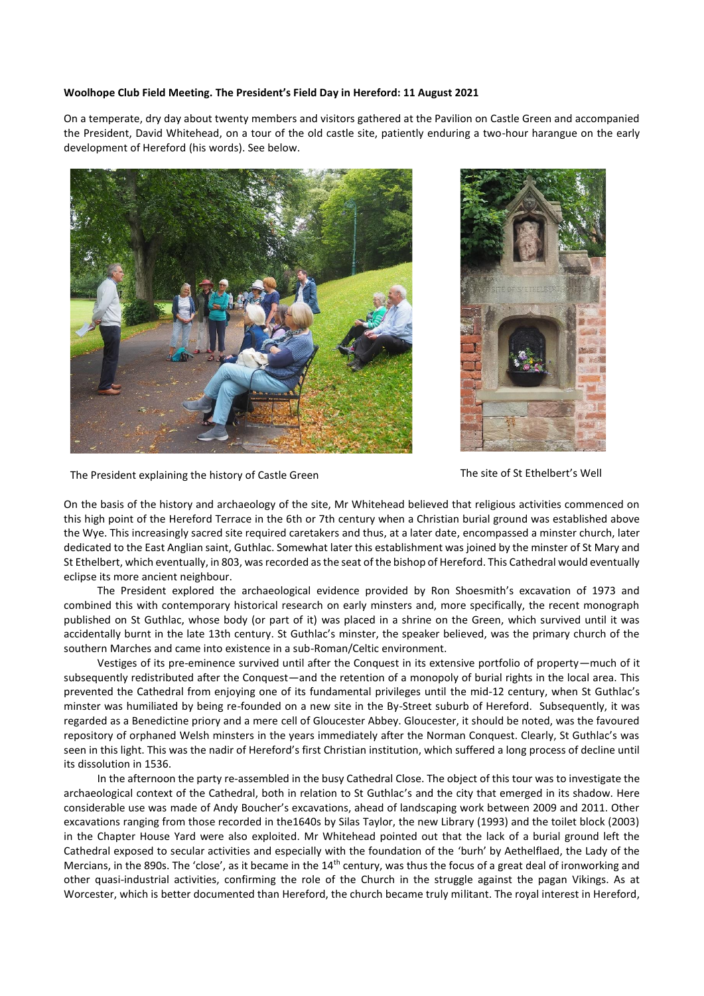## **Woolhope Club Field Meeting. The President's Field Day in Hereford: 11 August 2021**

On a temperate, dry day about twenty members and visitors gathered at the Pavilion on Castle Green and accompanied the President, David Whitehead, on a tour of the old castle site, patiently enduring a two-hour harangue on the early development of Hereford (his words). See below.





The President explaining the history of Castle Green The Steed The site of St Ethelbert's Well

On the basis of the history and archaeology of the site, Mr Whitehead believed that religious activities commenced on this high point of the Hereford Terrace in the 6th or 7th century when a Christian burial ground was established above the Wye. This increasingly sacred site required caretakers and thus, at a later date, encompassed a minster church, later dedicated to the East Anglian saint, Guthlac. Somewhat later this establishment was joined by the minster of St Mary and St Ethelbert, which eventually, in 803, was recorded as the seat of the bishop of Hereford. This Cathedral would eventually eclipse its more ancient neighbour.

The President explored the archaeological evidence provided by Ron Shoesmith's excavation of 1973 and combined this with contemporary historical research on early minsters and, more specifically, the recent monograph published on St Guthlac, whose body (or part of it) was placed in a shrine on the Green, which survived until it was accidentally burnt in the late 13th century. St Guthlac's minster, the speaker believed, was the primary church of the southern Marches and came into existence in a sub-Roman/Celtic environment.

Vestiges of its pre-eminence survived until after the Conquest in its extensive portfolio of property—much of it subsequently redistributed after the Conquest—and the retention of a monopoly of burial rights in the local area. This prevented the Cathedral from enjoying one of its fundamental privileges until the mid-12 century, when St Guthlac's minster was humiliated by being re-founded on a new site in the By-Street suburb of Hereford. Subsequently, it was regarded as a Benedictine priory and a mere cell of Gloucester Abbey. Gloucester, it should be noted, was the favoured repository of orphaned Welsh minsters in the years immediately after the Norman Conquest. Clearly, St Guthlac's was seen in this light. This was the nadir of Hereford's first Christian institution, which suffered a long process of decline until its dissolution in 1536.

In the afternoon the party re-assembled in the busy Cathedral Close. The object of this tour was to investigate the archaeological context of the Cathedral, both in relation to St Guthlac's and the city that emerged in its shadow. Here considerable use was made of Andy Boucher's excavations, ahead of landscaping work between 2009 and 2011. Other excavations ranging from those recorded in the1640s by Silas Taylor, the new Library (1993) and the toilet block (2003) in the Chapter House Yard were also exploited. Mr Whitehead pointed out that the lack of a burial ground left the Cathedral exposed to secular activities and especially with the foundation of the 'burh' by Aethelflaed, the Lady of the Mercians, in the 890s. The 'close', as it became in the 14<sup>th</sup> century, was thus the focus of a great deal of ironworking and other quasi-industrial activities, confirming the role of the Church in the struggle against the pagan Vikings. As at Worcester, which is better documented than Hereford, the church became truly militant. The royal interest in Hereford,